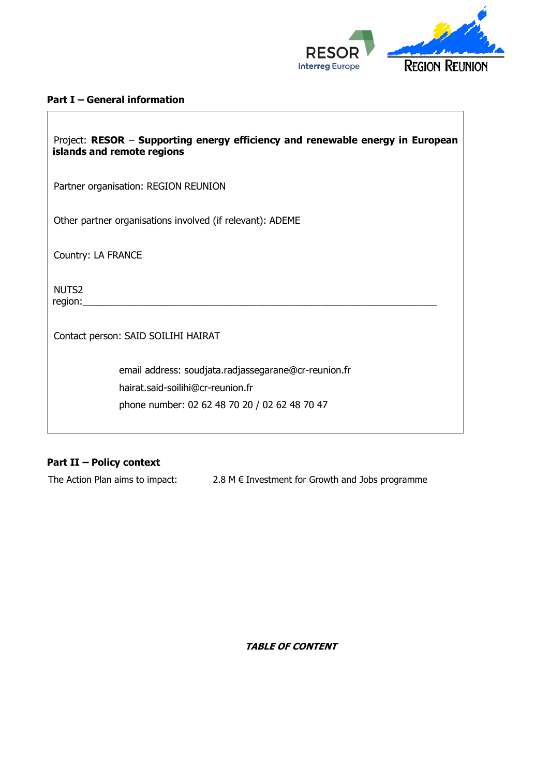

#### **Part I – General information**

| Project: RESOR - Supporting energy efficiency and renewable energy in European<br>islands and remote regions |
|--------------------------------------------------------------------------------------------------------------|
| Partner organisation: REGION REUNION                                                                         |
| Other partner organisations involved (if relevant): ADEME                                                    |
| Country: LA FRANCE                                                                                           |
| NUTS <sub>2</sub><br>region:                                                                                 |
| Contact person: SAID SOILIHI HAIRAT                                                                          |
| email address: soudjata.radjassegarane@cr-reunion.fr                                                         |
| hairat.said-soilihi@cr-reunion.fr                                                                            |
| phone number: 02 62 48 70 20 / 02 62 48 70 47                                                                |

# **Part II – Policy context**

The Action Plan aims to impact:  $2.8 \text{ M} \in \text{Investment}$  for Growth and Jobs programme

**TABLE OF CONTENT**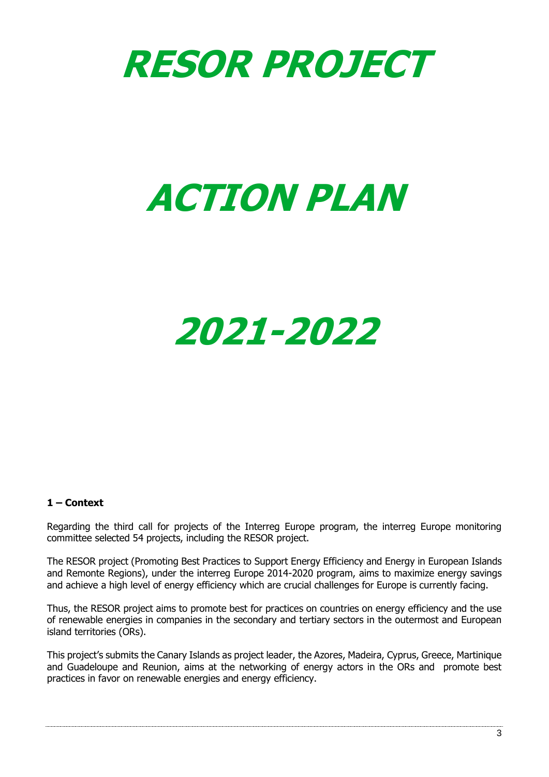

# **ACTION PLAN**

# **2021-2022**

#### **1 – Context**

Regarding the third call for projects of the Interreg Europe program, the interreg Europe monitoring committee selected 54 projects, including the RESOR project.

The RESOR project (Promoting Best Practices to Support Energy Efficiency and Energy in European Islands and Remonte Regions), under the interreg Europe 2014-2020 program, aims to maximize energy savings and achieve a high level of energy efficiency which are crucial challenges for Europe is currently facing.

Thus, the RESOR project aims to promote best for practices on countries on energy efficiency and the use of renewable energies in companies in the secondary and tertiary sectors in the outermost and European island territories (ORs).

This project's submits the Canary Islands as project leader, the Azores, Madeira, Cyprus, Greece, Martinique and Guadeloupe and Reunion, aims at the networking of energy actors in the ORs and promote best practices in favor on renewable energies and energy efficiency.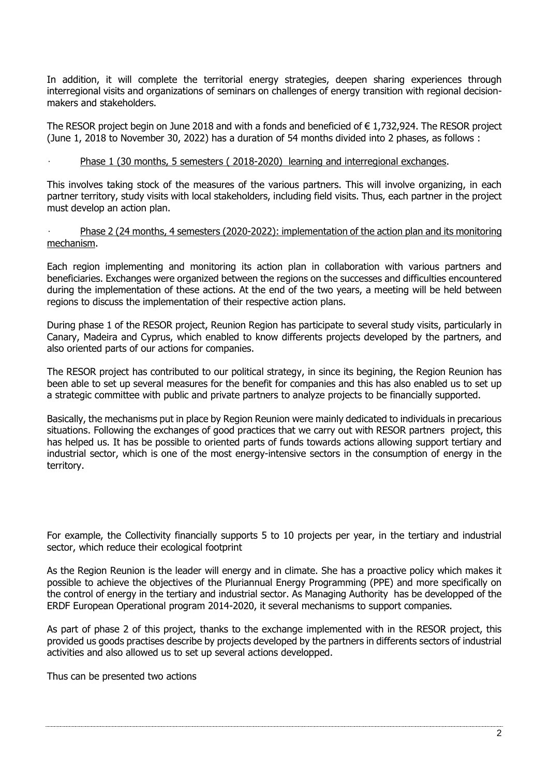In addition, it will complete the territorial energy strategies, deepen sharing experiences through interregional visits and organizations of seminars on challenges of energy transition with regional decisionmakers and stakeholders.

The RESOR project begin on June 2018 and with a fonds and beneficied of € 1,732,924. The RESOR project (June 1, 2018 to November 30, 2022) has a duration of 54 months divided into 2 phases, as follows :

#### • Phase 1 (30 months, 5 semesters ( 2018-2020) learning and interregional exchanges.

This involves taking stock of the measures of the various partners. This will involve organizing, in each partner territory, study visits with local stakeholders, including field visits. Thus, each partner in the project must develop an action plan.

#### • Phase 2 (24 months, 4 semesters (2020-2022): implementation of the action plan and its monitoring mechanism.

Each region implementing and monitoring its action plan in collaboration with various partners and beneficiaries. Exchanges were organized between the regions on the successes and difficulties encountered during the implementation of these actions. At the end of the two years, a meeting will be held between regions to discuss the implementation of their respective action plans.

During phase 1 of the RESOR project, Reunion Region has participate to several study visits, particularly in Canary, Madeira and Cyprus, which enabled to know differents projects developed by the partners, and also oriented parts of our actions for companies.

The RESOR project has contributed to our political strategy, in since its begining, the Region Reunion has been able to set up several measures for the benefit for companies and this has also enabled us to set up a strategic committee with public and private partners to analyze projects to be financially supported.

Basically, the mechanisms put in place by Region Reunion were mainly dedicated to individuals in precarious situations. Following the exchanges of good practices that we carry out with RESOR partners project, this has helped us. It has be possible to oriented parts of funds towards actions allowing support tertiary and industrial sector, which is one of the most energy-intensive sectors in the consumption of energy in the territory.

For example, the Collectivity financially supports 5 to 10 projects per year, in the tertiary and industrial sector, which reduce their ecological footprint

As the Region Reunion is the leader will energy and in climate. She has a proactive policy which makes it possible to achieve the objectives of the Pluriannual Energy Programming (PPE) and more specifically on the control of energy in the tertiary and industrial sector. As Managing Authority has be developped of the ERDF European Operational program 2014-2020, it several mechanisms to support companies.

As part of phase 2 of this project, thanks to the exchange implemented with in the RESOR project, this provided us goods practises describe by projects developed by the partners in differents sectors of industrial activities and also allowed us to set up several actions developped.

Thus can be presented two actions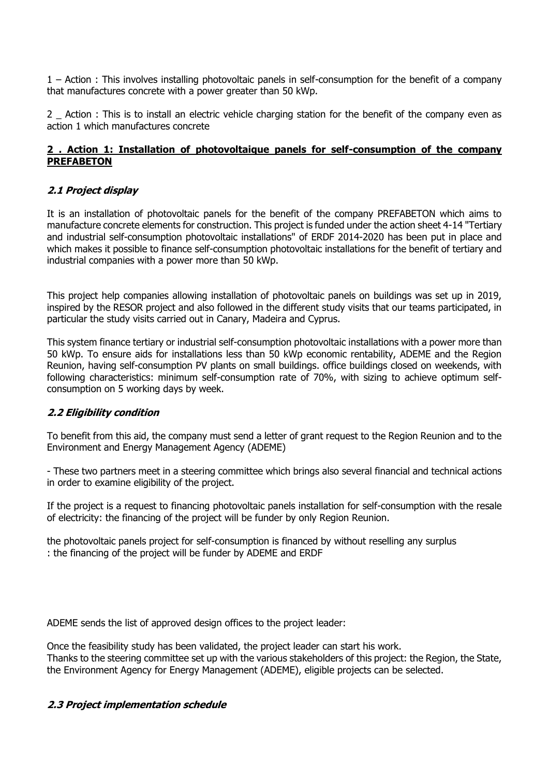1 – Action : This involves installing photovoltaic panels in self-consumption for the benefit of a company that manufactures concrete with a power greater than 50 kWp.

2 \_ Action : This is to install an electric vehicle charging station for the benefit of the company even as action 1 which manufactures concrete

#### **2 . Action 1: Installation of photovoltaique panels for self-consumption of the company PREFABETON**

### **2.1 Project display**

It is an installation of photovoltaic panels for the benefit of the company PREFABETON which aims to manufacture concrete elements for construction. This project is funded under the action sheet 4-14 "Tertiary and industrial self-consumption photovoltaic installations" of ERDF 2014-2020 has been put in place and which makes it possible to finance self-consumption photovoltaic installations for the benefit of tertiary and industrial companies with a power more than 50 kWp.

This project help companies allowing installation of photovoltaic panels on buildings was set up in 2019, inspired by the RESOR project and also followed in the different study visits that our teams participated, in particular the study visits carried out in Canary, Madeira and Cyprus.

This system finance tertiary or industrial self-consumption photovoltaic installations with a power more than 50 kWp. To ensure aids for installations less than 50 kWp economic rentability, ADEME and the Region Reunion, having self-consumption PV plants on small buildings. office buildings closed on weekends, with following characteristics: minimum self-consumption rate of 70%, with sizing to achieve optimum selfconsumption on 5 working days by week.

#### **2.2 Eligibility condition**

To benefit from this aid, the company must send a letter of grant request to the Region Reunion and to the Environment and Energy Management Agency (ADEME)

- These two partners meet in a steering committee which brings also several financial and technical actions in order to examine eligibility of the project.

If the project is a request to financing photovoltaic panels installation for self-consumption with the resale of electricity: the financing of the project will be funder by only Region Reunion.

the photovoltaic panels project for self-consumption is financed by without reselling any surplus : the financing of the project will be funder by ADEME and ERDF

ADEME sends the list of approved design offices to the project leader:

Once the feasibility study has been validated, the project leader can start his work. Thanks to the steering committee set up with the various stakeholders of this project: the Region, the State, the Environment Agency for Energy Management (ADEME), eligible projects can be selected.

#### **2.3 Project implementation schedule**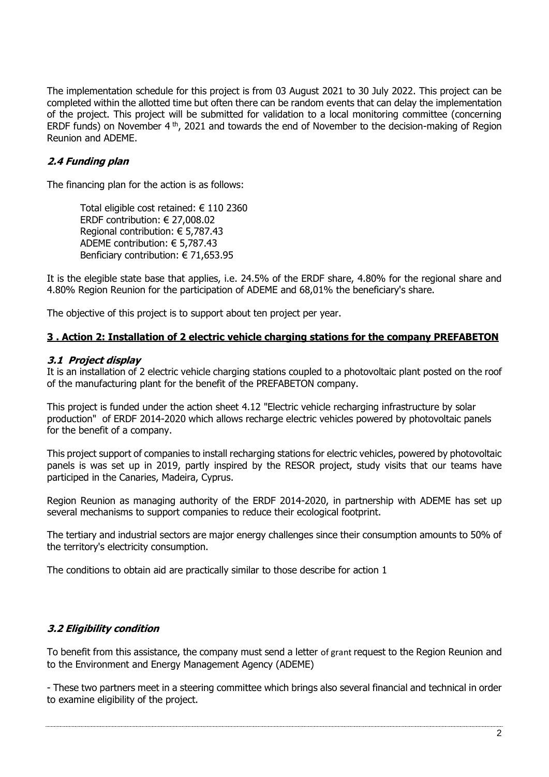The implementation schedule for this project is from 03 August 2021 to 30 July 2022. This project can be completed within the allotted time but often there can be random events that can delay the implementation of the project. This project will be submitted for validation to a local monitoring committee (concerning ERDF funds) on November 4 th, 2021 and towards the end of November to the decision-making of Region Reunion and ADEME.

## **2.4 Funding plan**

The financing plan for the action is as follows:

Total eligible cost retained: € 110 2360 ERDF contribution: € 27,008.02 Regional contribution: € 5,787.43 ADEME contribution: € 5,787.43 Benficiary contribution: € 71,653.95

It is the elegible state base that applies, i.e. 24.5% of the ERDF share, 4.80% for the regional share and 4.80% Region Reunion for the participation of ADEME and 68,01% the beneficiary's share.

The objective of this project is to support about ten project per year.

#### **3 . Action 2: Installation of 2 electric vehicle charging stations for the company PREFABETON**

#### **3.1 Project display**

It is an installation of 2 electric vehicle charging stations coupled to a photovoltaic plant posted on the roof of the manufacturing plant for the benefit of the PREFABETON company.

This project is funded under the action sheet 4.12 "Electric vehicle recharging infrastructure by solar production" of ERDF 2014-2020 which allows recharge electric vehicles powered by photovoltaic panels for the benefit of a company.

This project support of companies to install recharging stations for electric vehicles, powered by photovoltaic panels is was set up in 2019, partly inspired by the RESOR project, study visits that our teams have participed in the Canaries, Madeira, Cyprus.

Region Reunion as managing authority of the ERDF 2014-2020, in partnership with ADEME has set up several mechanisms to support companies to reduce their ecological footprint.

The tertiary and industrial sectors are major energy challenges since their consumption amounts to 50% of the territory's electricity consumption.

The conditions to obtain aid are practically similar to those describe for action 1

#### **3.2 Eligibility condition**

To benefit from this assistance, the company must send a letter of grant request to the Region Reunion and to the Environment and Energy Management Agency (ADEME)

- These two partners meet in a steering committee which brings also several financial and technical in order to examine eligibility of the project.